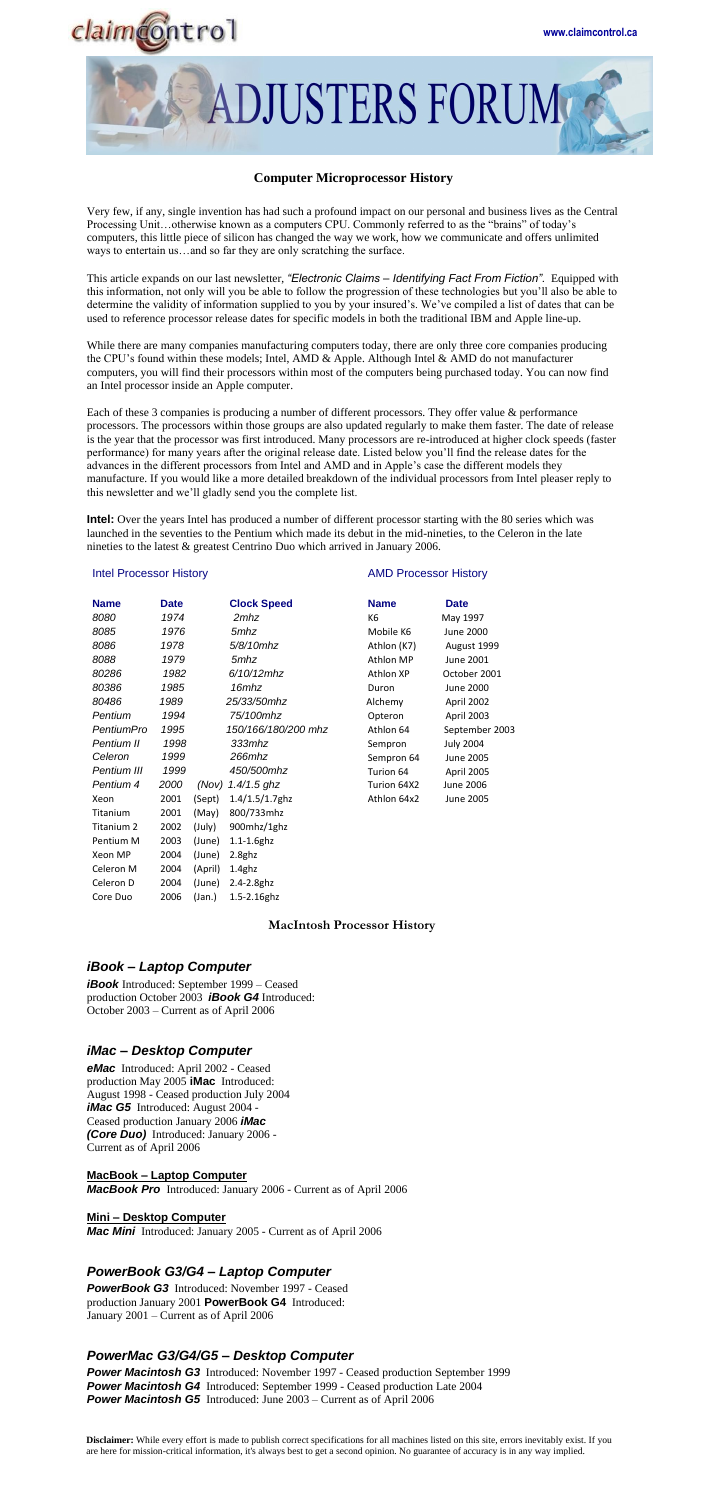

**DJUSTERS FORUM** 

## **Computer Microprocessor History**

Very few, if any, single invention has had such a profound impact on our personal and business lives as the Central Processing Unit…otherwise known as a computers CPU. Commonly referred to as the "brains" of today's computers, this little piece of silicon has changed the way we work, how we communicate and offers unlimited ways to entertain us…and so far they are only scratching the surface.

This article expands on our last newsletter, *"Electronic Claims – Identifying Fact From Fiction".* Equipped with this information, not only will you be able to follow the progression of these technologies but you'll also be able to determine the validity of information supplied to you by your insured's. We've compiled a list of dates that can be used to reference processor release dates for specific models in both the traditional IBM and Apple line-up.

While there are many companies manufacturing computers today, there are only three core companies producing the CPU's found within these models; Intel, AMD & Apple. Although Intel & AMD do not manufacturer computers, you will find their processors within most of the computers being purchased today. You can now find an Intel processor inside an Apple computer.

**Intel:** Over the years Intel has produced a number of different processor starting with the 80 series which was launched in the seventies to the Pentium which made its debut in the mid-nineties, to the Celeron in the late nineties to the latest & greatest Centrino Duo which arrived in January 2006.

#### Intel Processor History **AMD Processor History**

Each of these 3 companies is producing a number of different processors. They offer value & performance processors. The processors within those groups are also updated regularly to make them faster. The date of release is the year that the processor was first introduced. Many processors are re-introduced at higher clock speeds (faster performance) for many years after the original release date. Listed below you'll find the release dates for the advances in the different processors from Intel and AMD and in Apple's case the different models they manufacture. If you would like a more detailed breakdown of the individual processors from Intel pleaser reply to this newsletter and we'll gladly send you the complete list.

| <b>Name</b>       | <b>Date</b> |        | <b>Clock Speed</b>  | <b>Name</b>    | <b>Date</b>      |
|-------------------|-------------|--------|---------------------|----------------|------------------|
| 8080              | 1974        |        | 2mhz                | K <sub>6</sub> | May 1997         |
| 8085              | 1976        |        | 5mhz                | Mobile K6      | <b>June 2000</b> |
| 8086              | 1978        |        | 5/8/10mhz           | Athlon (K7)    | August 1999      |
| 8088              | 1979        |        | 5mhz                | Athlon MP      | June 2001        |
| 80286             | 1982        |        | $6/10/12$ mhz       | Athlon XP      | October 2001     |
| 80386             | 1985        |        | 16mhz               | Duron          | <b>June 2000</b> |
| 80486             | 1989        |        | 25/33/50mhz         | Alchemy        | April 2002       |
| Pentium           | 1994        |        | 75/100mhz           | Opteron        | April 2003       |
| <b>PentiumPro</b> | 1995        |        | 150/166/180/200 mhz | Athlon 64      | September 2003   |
| Pentium II        | 1998        |        | 333mhz              | Sempron        | <b>July 2004</b> |
| Celeron           | 1999        |        | 266mhz              | Sempron 64     | June 2005        |
| Pentium III       | 1999        |        | 450/500mhz          | Turion 64      | April 2005       |
| Pentium 4         | 2000        | (Nov)  | $1.4/1.5$ ghz       | Turion 64X2    | June 2006        |
| Xeon              | 2001        | (Sept) | $1.4/1.5/1.7$ ghz   | Athlon 64x2    | June 2005        |
| Titanium          | 2001        | (May)  | 800/733mhz          |                |                  |
| Titanium 2        | 2002        | (July) | 900mhz/1ghz         |                |                  |
| Pentium M         | 2003        | (June) | $1.1 - 1.6$ ghz     |                |                  |
| Xeon MP           | 2004        | (June) | 2.8ghz              |                |                  |

| Date             |
|------------------|
| May 1997         |
| June 2000        |
| August 1999      |
| June 2001        |
| October 2001     |
| June 2000        |
| April 2002       |
| April 2003       |
| September 20     |
| <b>July 2004</b> |
| <b>June 2005</b> |
| April 2005       |
| June 2006        |
| <b>June 2005</b> |
|                  |

| Celeron M | 2004 (April) 1.4ghz |                         |
|-----------|---------------------|-------------------------|
| Celeron D |                     | 2004 (June) 2.4-2.8ghz  |
| Core Duo  |                     | 2006 (Jan.) 1.5-2.16ghz |

#### **MacIntosh Processor History**

## *iBook – Laptop Computer*

*iBook* Introduced: September 1999 – Ceased production October 2003 *iBook G4* Introduced: October 2003 – Current as of April 2006

# *iMac – Desktop Computer*

*eMac* Introduced: April 2002 - Ceased production May 2005 **iMac** Introduced: August 1998 - Ceased production July 2004 *iMac G5* Introduced: August 2004 - Ceased production January 2006 *iMac (Core Duo)* Introduced: January 2006 - Current as of April 2006

#### **MacBook – Laptop Computer**

*MacBook Pro* Introduced: January 2006 - Current as of April 2006

#### **Mini – Desktop Computer**

*Mac Mini* Introduced: January 2005 - Current as of April 2006

# *PowerBook G3/G4 – Laptop Computer*

*PowerBook G3* Introduced: November 1997 - Ceased production January 2001 **PowerBook G4** Introduced: January 2001 – Current as of April 2006

# *PowerMac G3/G4/G5 – Desktop Computer*

*Power Macintosh G3* Introduced: November 1997 - Ceased production September 1999 *Power Macintosh G4* Introduced: September 1999 - Ceased production Late 2004 *Power Macintosh G5* Introduced: June 2003 – Current as of April 2006

**Disclaimer:** While every effort is made to publish correct specifications for all machines listed on this site, errors inevitably exist. If you are here for mission-critical information, it's always best to get a second opinion. No guarantee of accuracy is in any way implied.